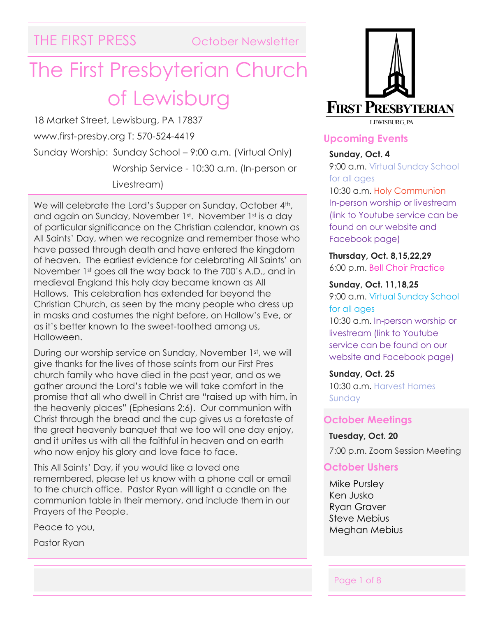# The First Presbyterian Church of Lewisburg

18 Market Street, Lewisburg, PA 17837 www.first-presby.org T: 570-524-4419 Sunday Worship: Sunday School – 9:00 a.m. (Virtual Only) Worship Service - 10:30 a.m. (In-person or Livestream)

We will celebrate the Lord's Supper on Sunday, October 4<sup>th</sup>, and again on Sunday, November 1st. November 1st is a day of particular significance on the Christian calendar, known as All Saints' Day, when we recognize and remember those who have passed through death and have entered the kingdom of heaven. The earliest evidence for celebrating All Saints' on November 1st goes all the way back to the 700's A.D., and in medieval England this holy day became known as All Hallows. This celebration has extended far beyond the Christian Church, as seen by the many people who dress up in masks and costumes the night before, on Hallow's Eve, or as it's better known to the sweet-toothed among us, Halloween.

During our worship service on Sunday, November 1st, we will give thanks for the lives of those saints from our First Pres church family who have died in the past year, and as we gather around the Lord's table we will take comfort in the promise that all who dwell in Christ are "raised up with him, in the heavenly places" (Ephesians 2:6). Our communion with Christ through the bread and the cup gives us a foretaste of the great heavenly banquet that we too will one day enjoy, and it unites us with all the faithful in heaven and on earth who now enjoy his glory and love face to face.

This All Saints' Day, if you would like a loved one remembered, please let us know with a phone call or email to the church office. Pastor Ryan will light a candle on the communion table in their memory, and include them in our Prayers of the People.

Peace to you,

Pastor Ryan



### **Upcoming Events**

#### **Sunday, Oct. 4**

9:00 a.m. Virtual Sunday School for all ages

10:30 a.m. Holy Communion In-person worship or livestream (link to Youtube service can be found on our website and Facebook page)

**Thursday, Oct. 8,15,22,29** 6:00 p.m. Bell Choir Practice

**Sunday, Oct. 11,18,25**

9:00 a.m. Virtual Sunday School for all ages

10:30 a.m. In-person worship or livestream (link to Youtube service can be found on our website and Facebook page)

**Sunday, Oct. 25** 10:30 a.m. Harvest Homes Sunday

#### **October Meetings**

**Tuesday, Oct. 20**

7:00 p.m. Zoom Session Meeting

#### **October Ushers**

Mike Pursley Ken Jusko Ryan Graver Steve Mebius Meghan Mebius

Page 1 of 8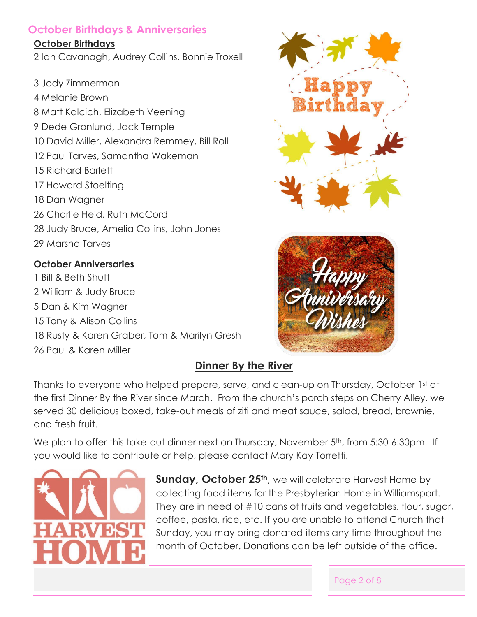## **October Birthdays & Anniversaries**

#### **October Birthdays**

2 Ian Cavanagh, Audrey Collins, Bonnie Troxell

3 Jody Zimmerman 4 Melanie Brown 8 Matt Kalcich, Elizabeth Veening 9 Dede Gronlund, Jack Temple 10 David Miller, Alexandra Remmey, Bill Roll 12 Paul Tarves, Samantha Wakeman 15 Richard Barlett 17 Howard Stoelting 18 Dan Wagner 26 Charlie Heid, Ruth McCord 28 Judy Bruce, Amelia Collins, John Jones 29 Marsha Tarves

## **October Anniversaries**

1 Bill & Beth Shutt 2 William & Judy Bruce 5 Dan & Kim Wagner 15 Tony & Alison Collins 18 Rusty & Karen Graber, Tom & Marilyn Gresh 26 Paul & Karen Miller





## **Dinner By the River**

Thanks to everyone who helped prepare, serve, and clean-up on Thursday, October 1st at the first Dinner By the River since March. From the church's porch steps on Cherry Alley, we served 30 delicious boxed, take-out meals of ziti and meat sauce, salad, bread, brownie, and fresh fruit.

We plan to offer this take-out dinner next on Thursday, November 5<sup>th</sup>, from 5:30-6:30pm. If you would like to contribute or help, please contact Mary Kay Torretti.



**Sunday, October 25th**, we will celebrate Harvest Home by collecting food items for the Presbyterian Home in Williamsport. They are in need of #10 cans of fruits and vegetables, flour, sugar, coffee, pasta, rice, etc. If you are unable to attend Church that Sunday, you may bring donated items any time throughout the month of October. Donations can be left outside of the office.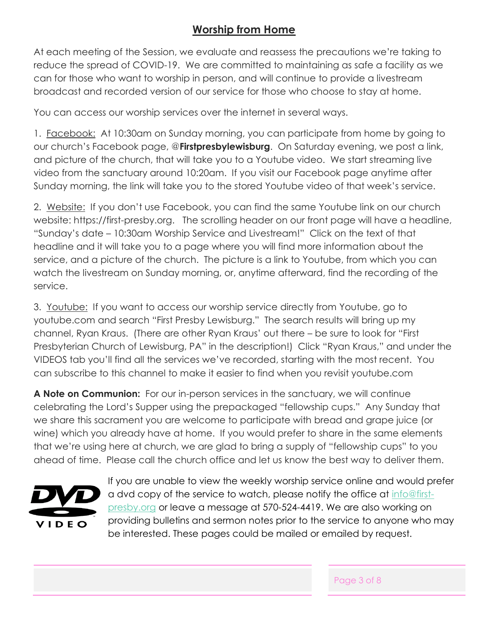## **Worship from Home**

At each meeting of the Session, we evaluate and reassess the precautions we're taking to reduce the spread of COVID-19. We are committed to maintaining as safe a facility as we can for those who want to worship in person, and will continue to provide a livestream broadcast and recorded version of our service for those who choose to stay at home.

You can access our worship services over the internet in several ways.

1. Facebook: At 10:30am on Sunday morning, you can participate from home by going to our church's Facebook page, @**Firstpresbylewisburg**. On Saturday evening, we post a link, and picture of the church, that will take you to a Youtube video. We start streaming live video from the sanctuary around 10:20am. If you visit our Facebook page anytime after Sunday morning, the link will take you to the stored Youtube video of that week's service.

2. Website: If you don't use Facebook, you can find the same Youtube link on our church website: https://first-presby.org. The scrolling header on our front page will have a headline, "Sunday's date – 10:30am Worship Service and Livestream!" Click on the text of that headline and it will take you to a page where you will find more information about the service, and a picture of the church. The picture is a link to Youtube, from which you can watch the livestream on Sunday morning, or, anytime afterward, find the recording of the service.

3. Youtube: If you want to access our worship service directly from Youtube, go to youtube.com and search "First Presby Lewisburg." The search results will bring up my channel, Ryan Kraus. (There are other Ryan Kraus' out there – be sure to look for "First Presbyterian Church of Lewisburg, PA" in the description!) Click "Ryan Kraus," and under the VIDEOS tab you'll find all the services we've recorded, starting with the most recent. You can subscribe to this channel to make it easier to find when you revisit youtube.com

**A Note on Communion:** For our in-person services in the sanctuary, we will continue celebrating the Lord's Supper using the prepackaged "fellowship cups." Any Sunday that we share this sacrament you are welcome to participate with bread and grape juice (or wine) which you already have at home. If you would prefer to share in the same elements that we're using here at church, we are glad to bring a supply of "fellowship cups" to you ahead of time. Please call the church office and let us know the best way to deliver them.



If you are unable to view the weekly worship service online and would prefer a dvd copy of the service to watch, please notify the office at [info@first](mailto:info@first-presby.org)[presby.org](mailto:info@first-presby.org) or leave a message at 570-524-4419. We are also working on providing bulletins and sermon notes prior to the service to anyone who may be interested. These pages could be mailed or emailed by request.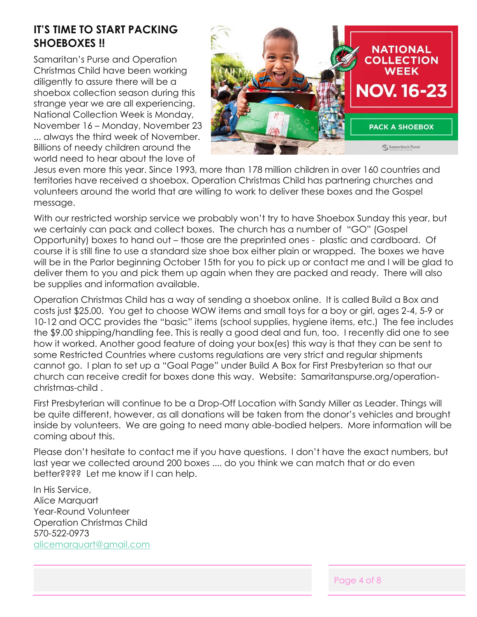## **IT'S TIME TO START PACKING SHOEBOXES !!**

Samaritan's Purse and Operation Christmas Child have been working diligently to assure there will be a shoebox collection season during this strange year we are all experiencing. National Collection Week is Monday, November 16 – Monday, November 23 ... always the third week of November. Billions of needy children around the world need to hear about the love of



Jesus even more this year. Since 1993, more than 178 million children in over 160 countries and territories have received a shoebox. Operation Christmas Child has partnering churches and volunteers around the world that are willing to work to deliver these boxes and the Gospel message.

With our restricted worship service we probably won't try to have Shoebox Sunday this year, but we certainly can pack and collect boxes. The church has a number of "GO" (Gospel Opportunity) boxes to hand out – those are the preprinted ones - plastic and cardboard. Of course it is still fine to use a standard size shoe box either plain or wrapped. The boxes we have will be in the Parlor beginning October 15th for you to pick up or contact me and I will be glad to deliver them to you and pick them up again when they are packed and ready. There will also be supplies and information available.

Operation Christmas Child has a way of sending a shoebox online. It is called Build a Box and costs just \$25.00. You get to choose WOW items and small toys for a boy or girl, ages 2-4, 5-9 or 10-12 and OCC provides the "basic" items (school supplies, hygiene items, etc.) The fee includes the \$9.00 shipping/handling fee. This is really a good deal and fun, too. I recently did one to see how it worked. Another good feature of doing your box(es) this way is that they can be sent to some Restricted Countries where customs regulations are very strict and regular shipments cannot go. I plan to set up a "Goal Page" under Build A Box for First Presbyterian so that our church can receive credit for boxes done this way. Website: Samaritanspurse.org/operationchristmas-child .

First Presbyterian will continue to be a Drop-Off Location with Sandy Miller as Leader. Things will be quite different, however, as all donations will be taken from the donor's vehicles and brought inside by volunteers. We are going to need many able-bodied helpers. More information will be coming about this.

Please don't hesitate to contact me if you have questions. I don't have the exact numbers, but last year we collected around 200 boxes .... do you think we can match that or do even better???? Let me know if I can help.

In His Service, Alice Marquart Year-Round Volunteer Operation Christmas Child 570-522-0973 [alicemarquart@gmail.com](mailto:alicemarquart@gmail.com)

Page 4 of 8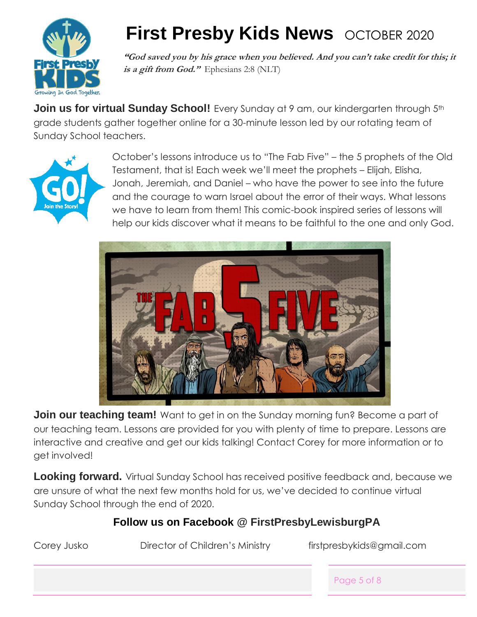

## **First Presby Kids News OCTOBER 2020**

**"God saved you by his grace when you believed. And you can't take credit for this; it is a gift from God."** Ephesians 2:8 (NLT)

**Join us for virtual Sunday School!** Every Sunday at 9 am, our kindergarten through 5<sup>th</sup> grade students gather together online for a 30-minute lesson led by our rotating team of Sunday School teachers.



October's lessons introduce us to "The Fab Five" – the 5 prophets of the Old Testament, that is! Each week we'll meet the prophets – Elijah, Elisha, Jonah, Jeremiah, and Daniel – who have the power to see into the future and the courage to warn Israel about the error of their ways. What lessons we have to learn from them! This comic-book inspired series of lessons will help our kids discover what it means to be faithful to the one and only God.



**Join our teaching team!** Want to get in on the Sunday morning fun? Become a part of our teaching team. Lessons are provided for you with plenty of time to prepare. Lessons are interactive and creative and get our kids talking! Contact Corey for more information or to get involved!

**Looking forward.** Virtual Sunday School has received positive feedback and, because we are unsure of what the next few months hold for us, we've decided to continue virtual Sunday School through the end of 2020.

## **Follow us on Facebook @ FirstPresbyLewisburgPA**

| Corey Jusko | Director of Children's Ministry | firstpresbykids@gmail.com |             |
|-------------|---------------------------------|---------------------------|-------------|
|             |                                 |                           | Page 5 of 8 |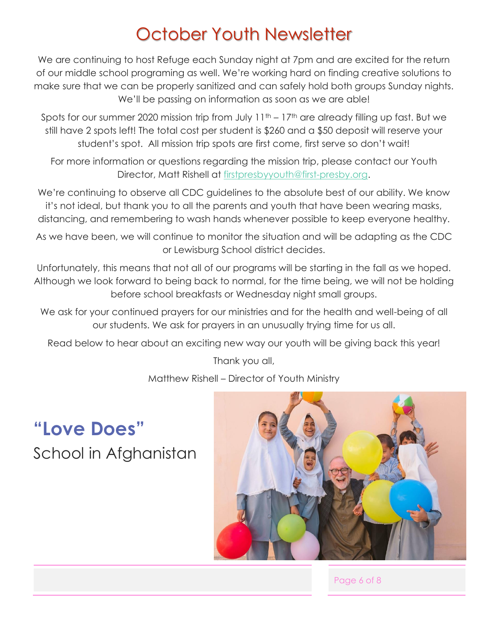## October Youth Newsletter

We are continuing to host Refuge each Sunday night at 7pm and are excited for the return of our middle school programing as well. We're working hard on finding creative solutions to make sure that we can be properly sanitized and can safely hold both groups Sunday nights. We'll be passing on information as soon as we are able!

Spots for our summer 2020 mission trip from July 11<sup>th</sup> – 17<sup>th</sup> are already filling up fast. But we still have 2 spots left! The total cost per student is \$260 and a \$50 deposit will reserve your student's spot. All mission trip spots are first come, first serve so don't wait!

For more information or questions regarding the mission trip, please contact our Youth Director, Matt Rishell at [firstpresbyyouth@first-presby.org.](mailto:firstpresbyyouth@first-presby.org)

We're continuing to observe all CDC guidelines to the absolute best of our ability. We know it's not ideal, but thank you to all the parents and youth that have been wearing masks, distancing, and remembering to wash hands whenever possible to keep everyone healthy.

As we have been, we will continue to monitor the situation and will be adapting as the CDC or Lewisburg School district decides.

Unfortunately, this means that not all of our programs will be starting in the fall as we hoped. Although we look forward to being back to normal, for the time being, we will not be holding before school breakfasts or Wednesday night small groups.

We ask for your continued prayers for our ministries and for the health and well-being of all our students. We ask for prayers in an unusually trying time for us all.

Read below to hear about an exciting new way our youth will be giving back this year!

Thank you all,

Matthew Rishell – Director of Youth Ministry

**"Love Does"** School in Afghanistan



Page 6 of 8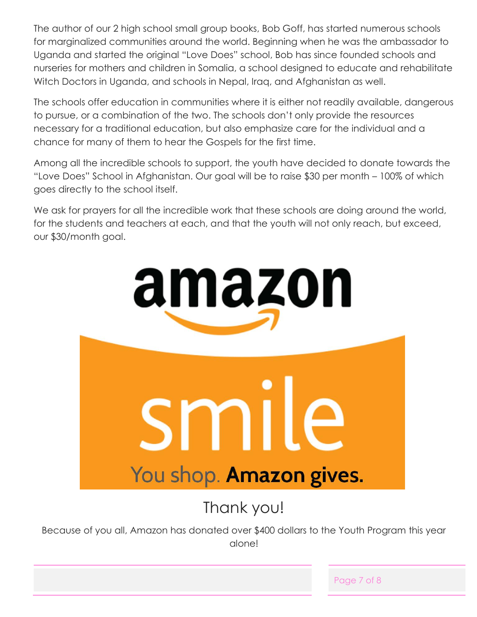The author of our 2 high school small group books, Bob Goff, has started numerous schools for marginalized communities around the world. Beginning when he was the ambassador to Uganda and started the original "Love Does" school, Bob has since founded schools and nurseries for mothers and children in Somalia, a school designed to educate and rehabilitate Witch Doctors in Uganda, and schools in Nepal, Iraq, and Afghanistan as well.

The schools offer education in communities where it is either not readily available, dangerous to pursue, or a combination of the two. The schools don't only provide the resources necessary for a traditional education, but also emphasize care for the individual and a chance for many of them to hear the Gospels for the first time.

Among all the incredible schools to support, the youth have decided to donate towards the "Love Does" School in Afghanistan. Our goal will be to raise \$30 per month – 100% of which goes directly to the school itself.

We ask for prayers for all the incredible work that these schools are doing around the world, for the students and teachers at each, and that the youth will not only reach, but exceed, our \$30/month goal.



Thank you!

Because of you all, Amazon has donated over \$400 dollars to the Youth Program this year alone!

Page 7 of 8